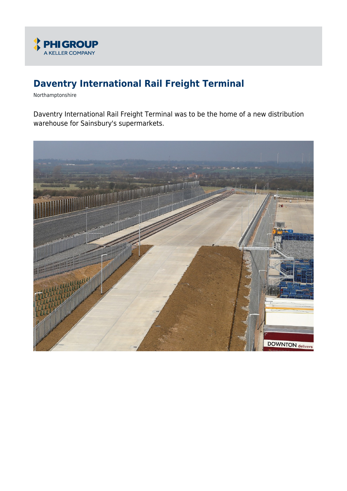

# **Daventry International Rail Freight Terminal**

Northamptonshire

Daventry International Rail Freight Terminal was to be the home of a new distribution warehouse for Sainsbury's supermarkets.

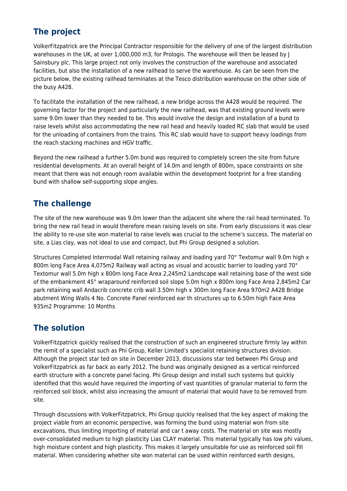## **The project**

VolkerFitzpatrick are the Principal Contractor responsible for the delivery of one of the largest distribution warehouses in the UK, at over 1,000,000 m3, for Prologis. The warehouse will then be leased by J Sainsbury plc. This large project not only involves the construction of the warehouse and associated facilities, but also the installation of a new railhead to serve the warehouse. As can be seen from the picture below, the existing railhead terminates at the Tesco distribution warehouse on the other side of the busy A428.

To facilitate the installation of the new railhead, a new bridge across the A428 would be required. The governing factor for the project and particularly the new railhead, was that existing ground levels were some 9.0m lower than they needed to be. This would involve the design and installation of a bund to raise levels whilst also accommodating the new rail head and heavily loaded RC slab that would be used for the unloading of containers from the trains. This RC slab would have to support heavy loadings from the reach stacking machines and HGV traffic.

Beyond the new railhead a further 5.0m bund was required to completely screen the site from future residential developments. At an overall height of 14.0m and length of 800m, space constraints on site meant that there was not enough room available within the development footprint for a free standing bund with shallow self-supporting slope angles.

### **The challenge**

The site of the new warehouse was 9.0m lower than the adjacent site where the rail head terminated. To bring the new rail head in would therefore mean raising levels on site. From early discussions it was clear the ability to re-use site won material to raise levels was crucial to the scheme's success. The material on site, a Lias clay, was not ideal to use and compact, but Phi Group designed a solution.

Structures Completed Intermodal Wall retaining railway and loading yard 70° Textomur wall 9.0m high x 800m long Face Area 4,075m2 Railway wall acting as visual and acoustic barrier to loading yard 70° Textomur wall 5.0m high x 800m long Face Area 2,245m2 Landscape wall retaining base of the west side of the embankment 45° wraparound reinforced soil slope 5.0m high x 800m long Face Area 2,845m2 Car park retaining wall Andacrib concrete crib wall 3.50m high x 300m long Face Area 970m2 A428 Bridge abutment Wing Walls 4 No. Concrete Panel reinforced ear th structures up to 6.50m high Face Area 935m2 Programme: 10 Months

#### **The solution**

VolkerFitzpatrick quickly realised that the construction of such an engineered structure firmly lay within the remit of a specialist such as Phi Group, Keller Limited's specialist retaining structures division. Although the project star ted on site in December 2013, discussions star ted between Phi Group and VolkerFitzpatrick as far back as early 2012. The bund was originally designed as a vertical reinforced earth structure with a concrete panel facing. Phi Group design and install such systems but quickly identified that this would have required the importing of vast quantities of granular material to form the reinforced soil block, whilst also increasing the amount of material that would have to be removed from site.

Through discussions with VolkerFitzpatrick, Phi Group quickly realised that the key aspect of making the project viable from an economic perspective, was forming the bund using material won from site excavations, thus limiting importing of material and car t away costs. The material on site was mostly over-consolidated medium to high plasticity Lias CLAY material. This material typically has low phi values, high moisture content and high plasticity. This makes it largely unsuitable for use as reinforced soil fill material. When considering whether site won material can be used within reinforced earth designs,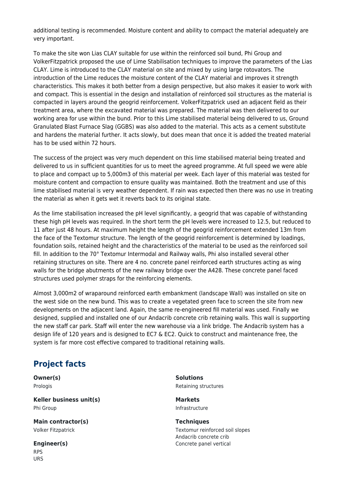additional testing is recommended. Moisture content and ability to compact the material adequately are very important.

To make the site won Lias CLAY suitable for use within the reinforced soil bund, Phi Group and VolkerFitzpatrick proposed the use of Lime Stabilisation techniques to improve the parameters of the Lias CLAY. Lime is introduced to the CLAY material on site and mixed by using large rotovators. The introduction of the Lime reduces the moisture content of the CLAY material and improves it strength characteristics. This makes it both better from a design perspective, but also makes it easier to work with and compact. This is essential in the design and installation of reinforced soil structures as the material is compacted in layers around the geogrid reinforcement. VolkerFitzpatrick used an adjacent field as their treatment area, where the excavated material was prepared. The material was then delivered to our working area for use within the bund. Prior to this Lime stabilised material being delivered to us, Ground Granulated Blast Furnace Slag (GGBS) was also added to the material. This acts as a cement substitute and hardens the material further. It acts slowly, but does mean that once it is added the treated material has to be used within 72 hours.

The success of the project was very much dependent on this lime stabilised material being treated and delivered to us in sufficient quantities for us to meet the agreed programme. At full speed we were able to place and compact up to 5,000m3 of this material per week. Each layer of this material was tested for moisture content and compaction to ensure quality was maintained. Both the treatment and use of this lime stabilised material is very weather dependent. If rain was expected then there was no use in treating the material as when it gets wet it reverts back to its original state.

As the lime stabilisation increased the pH level significantly, a geogrid that was capable of withstanding these high pH levels was required. In the short term the pH levels were increased to 12.5, but reduced to 11 after just 48 hours. At maximum height the length of the geogrid reinforcement extended 13m from the face of the Textomur structure. The length of the geogrid reinforcement is determined by loadings, foundation soils, retained height and the characteristics of the material to be used as the reinforced soil fill. In addition to the 70° Textomur Intermodal and Railway walls, Phi also installed several other retaining structures on site. There are 4 no. concrete panel reinforced earth structures acting as wing walls for the bridge abutments of the new railway bridge over the A428. These concrete panel faced structures used polymer straps for the reinforcing elements.

Almost 3,000m2 of wraparound reinforced earth embankment (landscape Wall) was installed on site on the west side on the new bund. This was to create a vegetated green face to screen the site from new developments on the adjacent land. Again, the same re-engineered fill material was used. Finally we designed, supplied and installed one of our Andacrib concrete crib retaining walls. This wall is supporting the new staff car park. Staff will enter the new warehouse via a link bridge. The Andacrib system has a design life of 120 years and is designed to EC7 & EC2. Quick to construct and maintenance free, the system is far more cost effective compared to traditional retaining walls.

#### **Project facts**

**Owner(s)** Prologis

**Keller business unit(s)** Phi Group

**Main contractor(s)** Volker Fitzpatrick

**Engineer(s)** RPS URS

**Solutions** Retaining structures

**Markets** Infrastructure

**Techniques** Textomur reinforced soil slopes Andacrib concrete crib Concrete panel vertical